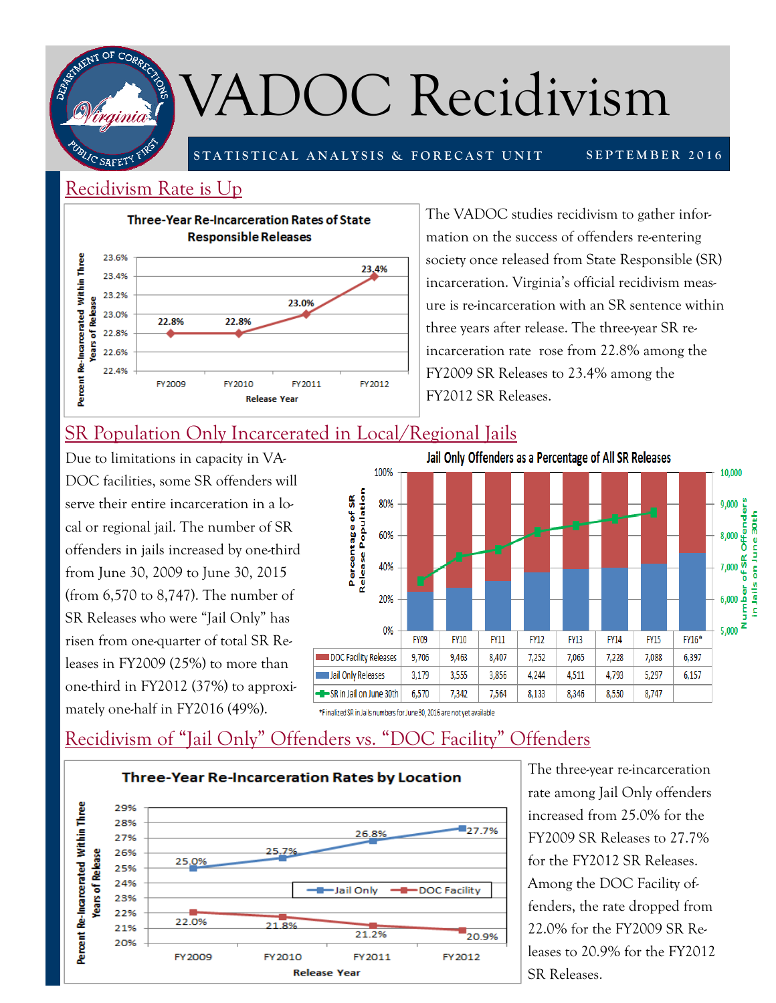

# VADOC Recidivism

**STATISTICAL ANALYSIS & FORECAST UNIT** 

#### **SEPTEMBER 2016**

#### Recidivism Rate is Up



The VADOC studies recidivism to gather information on the success of offenders re-entering society once released from State Responsible (SR) incarceration. Virginia's official recidivism measure is re-incarceration with an SR sentence within three years after release. The three-year SR reincarceration rate rose from 22.8% among the FY2009 SR Releases to 23.4% among the FY2012 SR Releases.

### SR Population Only Incarcerated in Local/Regional Jails

Due to limitations in capacity in VA-DOC facilities, some SR offenders will serve their entire incarceration in a local or regional jail. The number of SR offenders in jails increased by one-third from June 30, 2009 to June 30, 2015 (from 6,570 to 8,747). The number of SR Releases who were "Jail Only" has risen from one-quarter of total SR Releases in FY2009 (25%) to more than one-third in FY2012 (37%) to approximately one-half in FY2016 (49%).



\*Finalized SR in Jails numbers for June 30, 2016 are not yet available

## Recidivism of "Jail Only" Offenders vs. "DOC Facility" Offenders



The three-year re-incarceration rate among Jail Only offenders increased from 25.0% for the FY2009 SR Releases to 27.7% for the FY2012 SR Releases. Among the DOC Facility offenders, the rate dropped from 22.0% for the FY2009 SR Releases to 20.9% for the FY2012 SR Releases.